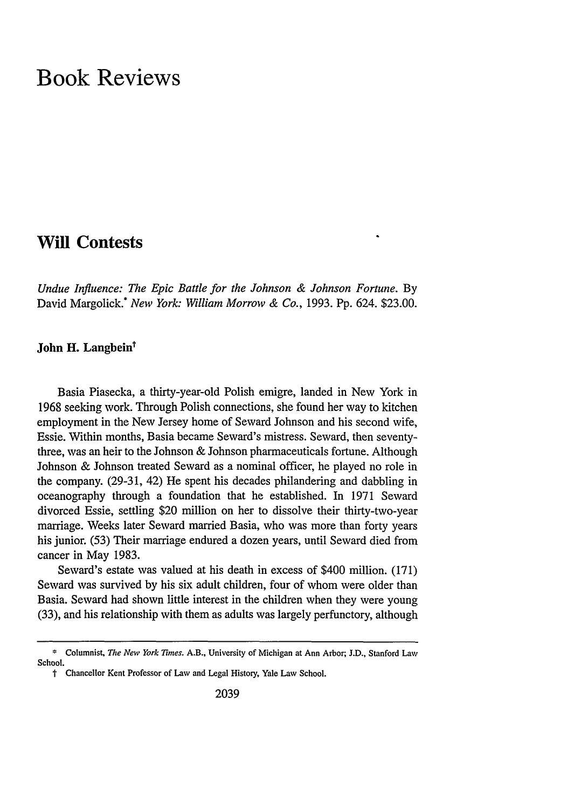# **Book Reviews**

# **Will Contests**

*Undue Influence: The Epic Battle for the Johnson & Johnson Fortune.* By David Margolick.\* *New York: William Morrow & Co.,* 1993. Pp. 624. \$23.00.

# John H. Langbein<sup>t</sup>

Basia Piasecka, a thirty-year-old Polish emigre, landed in New York in 1968 seeking work. Through Polish connections, she found her way to kitchen employment in the New Jersey home of Seward Johnson and his second wife, Essie. Within months, Basia became Seward's mistress. Seward, then seventythree, was an heir to the Johnson & Johnson pharmaceuticals fortune. Although Johnson & Johnson treated Seward as a nominal officer, he played no role in the company. (29-31, 42) He spent his decades philandering and dabbling in oceanography through a foundation that he established. In 1971 Seward divorced Essie, settling \$20 million on her to dissolve their thirty-two-year marriage. Weeks later Seward married Basia, who was more than forty years his junior. (53) Their marriage endured a dozen years, until Seward died from cancer in May 1983.

Seward's estate was valued at his death in excess of \$400 million. (171) Seward was survived by his six adult children, four of whom were older than Basia. Seward had shown little interest in the children when they were young (33), and his relationship with them as adults was largely perfunctory, although

**<sup>\*</sup> Columnist.** *The New York Times.* **A.B.,** University of Michigan at Ann Arbor; **J.D.,** Stanford **Law** School.

t Chancellor Kent Professor of Law and Legal History, Yale Law School.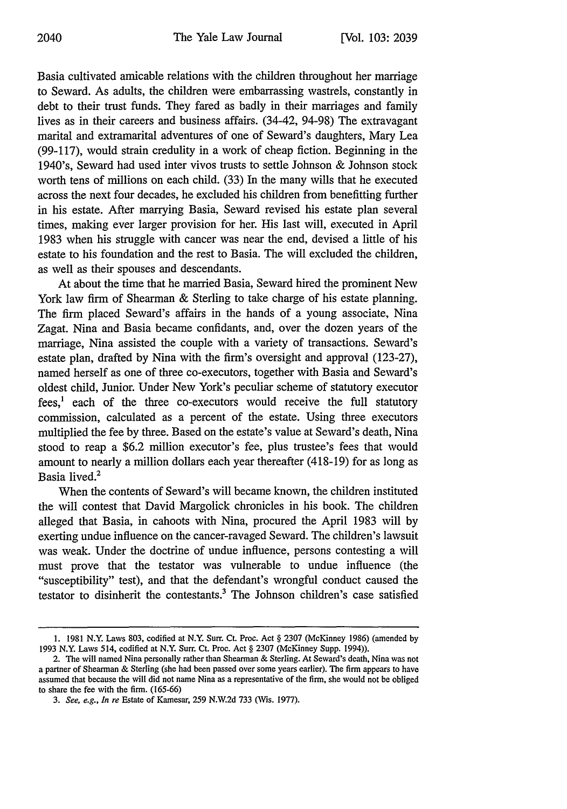Basia cultivated amicable relations with the children throughout her marriage to Seward. As adults, the children were embarrassing wastrels, constantly in debt to their trust funds. They fared as badly in their marriages and family lives as in their careers and business affairs. (34-42, 94-98) The extravagant marital and extramarital adventures of one of Seward's daughters, Mary Lea (99-117), would strain credulity in a work of cheap fiction. Beginning in the 1940's, Seward had used inter vivos trusts to settle Johnson & Johnson stock worth tens of millions on each child. (33) In the many wills that he executed across the next four decades, he excluded his children from benefitting further in his estate. After marrying Basia, Seward revised his estate plan several times, making ever larger provision for her. His last will, executed in April 1983 when his struggle with cancer was near the end, devised a little of his estate to his foundation and the rest to Basia. The will excluded the children, as well as their spouses and descendants.

At about the time that he married Basia, Seward hired the prominent New York law firm of Shearman & Sterling to take charge of his estate planning. The firm placed Seward's affairs in the hands of a young associate, Nina Zagat. Nina and Basia became confidants, and, over the dozen years of the marriage, Nina assisted the couple with a variety of transactions. Seward's estate plan, drafted by Nina with the firm's oversight and approval (123-27), named herself as one of three co-executors, together with Basia and Seward's oldest child, Junior. Under New York's peculiar scheme of statutory executor fees,' each of the three co-executors would receive the full statutory commission, calculated as a percent of the estate. Using three executors multiplied the fee by three. Based on the estate's value at Seward's death, Nina stood to reap a \$6.2 million executor's fee, plus trustee's fees that would amount to nearly a million dollars each year thereafter (418-19) for as long as Basia lived.2

When the contents of Seward's will became known, the children instituted the will contest that David Margolick chronicles in his book. The children alleged that Basia, in cahoots with Nina, procured the April 1983 will by exerting undue influence on the cancer-ravaged Seward. The children's lawsuit was weak. Under the doctrine of undue influence, persons contesting a will must prove that the testator was vulnerable to undue influence (the "susceptibility" test), and that the defendant's wrongful conduct caused the testator to disinherit the contestants.<sup>3</sup> The Johnson children's case satisfied

**<sup>1.</sup>** 1981 N.Y. Laws 803, codified at N.Y. Surr. Ct. Proc. Act § 2307 (McKinney 1986) (amended by 1993 N.Y. Laws 514, codified at N.Y. Surr. Ct. Proc. Act § 2307 (McKinney Supp. 1994)).

<sup>2.</sup> The will named Nina personally rather than Shearman & Sterling. At Seward's death, Nina was not a partner of Shearman & Sterling (she had been passed over some years earlier). The firm appears to have assumed that because the will did not name Nina as a representative of the firm, she would not be obliged to share the fee with the firm. (165-66)

*<sup>3.</sup> See, e.g., In re* Estate of Kamesar, 259 N.W.2d 733 (Wis. 1977).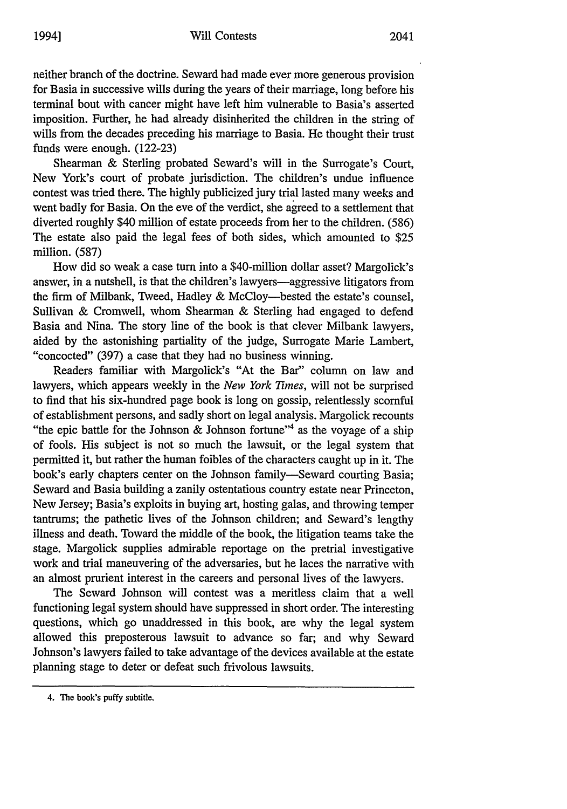neither branch of the doctrine. Seward had made ever more generous provision for Basia in successive wills during the years of their marriage, long before his terminal bout with cancer might have left him vulnerable to Basia's asserted imposition. Further, he had already disinherited the children in the string of wills from the decades preceding his marriage to Basia. He thought their trust funds were enough. (122-23)

Shearman & Sterling probated Seward's will in the Surrogate's Court, New York's court of probate jurisdiction. The children's undue influence contest was tried there. The highly publicized jury trial lasted many weeks and went badly for Basia. On the eve of the verdict, she agreed to a settlement that diverted roughly \$40 million of estate proceeds from her to the children. (586) The estate also paid the legal fees of both sides, which amounted to \$25 million. (587)

How did so weak a case turn into a \$40-million dollar asset? Margolick's answer, in a nutshell, is that the children's lawyers-aggressive litigators from the firm of Milbank, Tweed, Hadley & McCloy-bested the estate's counsel, Sullivan & Cromwell, whom Shearman & Sterling had engaged to defend Basia and Nina. The story line of the book is that clever Milbank lawyers, aided by the astonishing partiality of the judge, Surrogate Marie Lambert, "concocted" (397) a case that they had no business winning.

Readers familiar with Margolick's "At the Bar" column on law and lawyers, which appears weekly in the *New York Times,* will not be surprised to find that his six-hundred page book is long on gossip, relentlessly scornful of establishment persons, and sadly short on legal analysis. Margolick recounts "the epic battle for the Johnson & Johnson fortune"<sup>4</sup> as the voyage of a ship of fools. His subject is not so much the lawsuit, or the legal system that permitted it, but rather the human foibles of the characters caught up in it. The book's early chapters center on the Johnson family-Seward courting Basia; Seward and Basia building a zanily ostentatious country estate near Princeton, New Jersey; Basia's exploits in buying art, hosting galas, and throwing temper tantrums; the pathetic lives of the Johnson children; and Seward's lengthy illness and death. Toward the middle of the book, the litigation teams take the stage. Margolick supplies admirable reportage on the pretrial investigative work and trial maneuvering of the adversaries, but he laces the narrative with an almost prurient interest in the careers and personal lives of the lawyers.

The Seward Johnson will contest was a meritless claim that a well functioning legal system should have suppressed in short order. The interesting questions, which go unaddressed in this book, are why the legal system allowed this preposterous lawsuit to advance so far; and why Seward Johnson's lawyers failed to take advantage of the devices available at the estate planning stage to deter or defeat such frivolous lawsuits.

<sup>4.</sup> The book's puffy subtitle.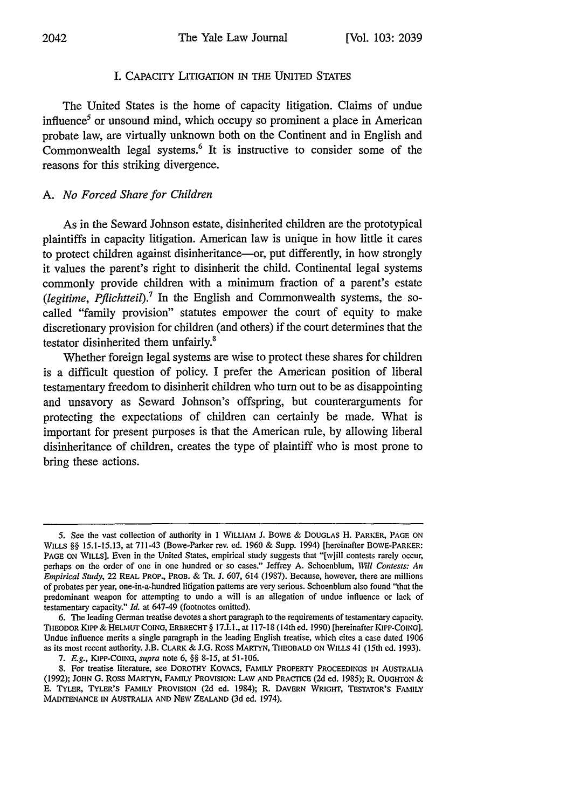# I. CAPACITY LITIGATION IN THE UNITED STATES

The United States is the home of capacity litigation. Claims of undue influence<sup>5</sup> or unsound mind, which occupy so prominent a place in American probate law, are virtually unknown both on the Continent and in English and Commonwealth legal systems.<sup>6</sup> It is instructive to consider some of the reasons for this striking divergence.

# *A. No Forced Share for Children*

As in the Seward Johnson estate, disinherited children are the prototypical plaintiffs in capacity litigation. American law is unique in how little it cares to protect children against disinheritance-or, put differently, in how strongly it values the parent's right to disinherit the child. Continental legal systems commonly provide children with a minimum fraction of a parent's estate *(legitime, Pflichtteil).7* In the English and Commonwealth systems, the socalled "family provision" statutes empower the court of equity to make discretionary provision for children (and others) if the court determines that the testator disinherited them unfairly.<sup>8</sup>

Whether foreign legal systems are wise to protect these shares for children is a difficult question of policy. I prefer the American position of liberal testamentary freedom to disinherit children who turn out to be as disappointing and unsavory as Seward Johnson's offspring, but counterarguments for protecting the expectations of children can certainly be made. What is important for present purposes is that the American rule, by allowing liberal disinheritance of children, creates the type of plaintiff who is most prone to bring these actions.

<sup>5.</sup> See the vast collection of authority in 1 WILLIAM J. BOWE & DOUGLAS H. PARKER, **PAGE ON WILLS** §§ 15.1-15.13, at 711-43 (Bowe-Parker rev. ed. 1960 & Supp. 1994) [hereinafter BOWE-PARKER: PAGE ON WILLS]. Even in the United States, empirical study suggests that "[w]ill contests rarely occur, perhaps on the order of one in one hundred or so cases." Jeffrey A. Schoenblum, *1Will Contests: An Empirical Study,* 22 REAL PROP., PROB. & TR. J. 607, 614 (1987). Because, however, there are millions of probates per year, one-in-a-hundred litigation patterns are very serious. Schoenblum also found "that the predominant weapon for attempting to undo a will is an allegation of undue influence or lack of testamentary capacity." *Id.* at 647-49 (footnotes omitted).

<sup>6.</sup> The leading German treatise devotes a short paragraph to the requirements of testamentary capacity. THEODOR KIPP & HELMUT COING, ERBRECHT § 17.I.1., at 117-18 (14th ed. 1990) [hereinafter KIPP-COING]. Undue influence merits a single paragraph in the leading English treatise, which cites a case dated 1906 as its most recent authority. J.B. CLARK & **J.G.** Ross MARTYN, THEOBALD **ON** WILLS 41 (15th ed. 1993).

<sup>7.</sup> *E.g.,* KIPP-COING, *supra* note 6, §§ 8-15, at 51-106.

<sup>8.</sup> For treatise literature, see DOROTHY KOVACS, FAMILY PROPERTY **PROCEEDINGS** IN AUSTRALIA (1992); **JOHN** G. Ross MARTYN, FAMILY PROVISION: **LAW AND** PRACTICE **(2d** ed. 1985); R. **OUGHTON** & **E. TYLER, TYLER'S FAMILY** PROVISION **(2d ed.** 1984); R. **DAVERN WRIGHT,** TESTATOR'S **FAMILY MAINTENANCE** IN **AUSTRALIA AND** NEW **ZEALAND** (3d ed. 1974).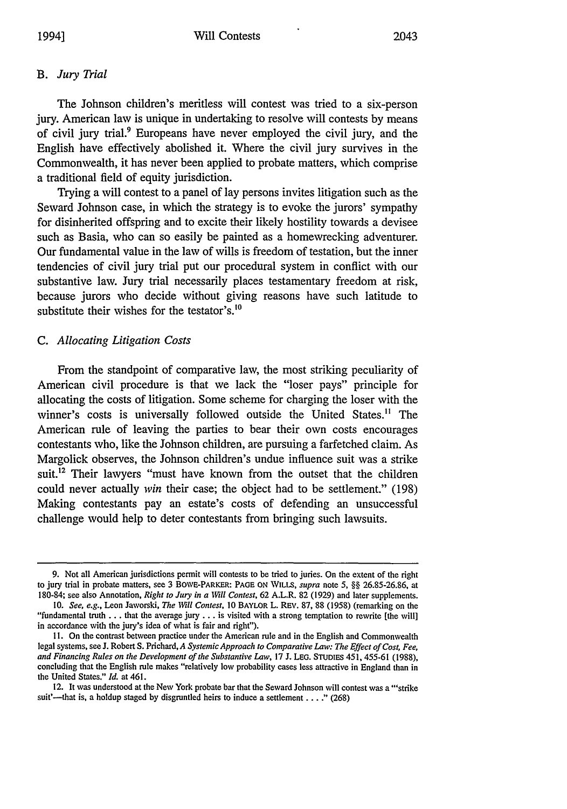#### *B. Jury Trial*

The Johnson children's meritless will contest was tried to a six-person jury. American law is unique in undertaking to resolve will contests by means of civil jury trial.<sup>9</sup> Europeans have never employed the civil jury, and the English have effectively abolished it. Where the civil jury survives in the Commonwealth, it has never been applied to probate matters, which comprise a traditional field of equity jurisdiction.

Trying a will contest to a panel of lay persons invites litigation such as the Seward Johnson case, in which the strategy is to evoke the jurors' sympathy for disinherited offspring and to excite their likely hostility towards a devisee such as Basia, who can so easily be painted as a homewrecking adventurer. Our fundamental value in the law of wills is freedom of testation, but the inner tendencies of civil jury trial put our procedural system in conflict with our substantive law. Jury trial necessarily places testamentary freedom at risk, because jurors who decide without giving reasons have such latitude to substitute their wishes for the testator's.<sup>10</sup>

#### *C. Allocating Litigation Costs*

From the standpoint of comparative law, the most striking peculiarity of American civil procedure is that we lack the "loser pays" principle for allocating the costs of litigation. Some scheme for charging the loser with the winner's costs is universally followed outside the United States." The American rule of leaving the parties to bear their own costs encourages contestants who, like the Johnson children, are pursuing a farfetched claim. As Margolick observes, the Johnson children's undue influence suit was a strike suit.<sup>12</sup> Their lawyers "must have known from the outset that the children could never actually *win* their case; the object had to be settlement." (198) Making contestants pay an estate's costs of defending an unsuccessful challenge would help to deter contestants from bringing such lawsuits.

<sup>9.</sup> Not all American jurisdictions permit will contests to be tried to juries. On the extent of the right to jury trial in probate matters, see 3 BOWE-PARKER: PAGE ON WILLS, supra note 5, **§§** 26.85-26.86, at 180-84; see also Annotation, *Right to Jury in a Will Contest,* 62 A.L.R. 82 (1929) and later supplements.

*<sup>10.</sup> See, e.g.,* Leon Jaworski, *The Will Contest,* 10 BAYLOR L. REV. 87, 88 (1958) (remarking on the "fundamental truth **...** that the average jury **...** is visited with a strong temptation to rewrite [the will] in accordance with the jury's idea of what is fair and right").

**<sup>1</sup>I.** On the contrast between practice under the American rule and in the English and Commonwealth legal systems, see J. Robert S. Prichard, *A Systemic Approach to Comparative Law: The Effect of Cost, Fee,* and Financing Rules on the Development of the Substantive Law, 17 J. LEG. STUDIES 451, 455-61 (1988), concluding that the English rule makes "relatively low probability cases less attractive in England than in the United States." *Id.* at 461.

<sup>12.</sup> It was understood at the New York probate bar that the Seward Johnson will contest was a "'strike suit'—that is, a holdup staged by disgruntled heirs to induce a settlement . . . ." (268)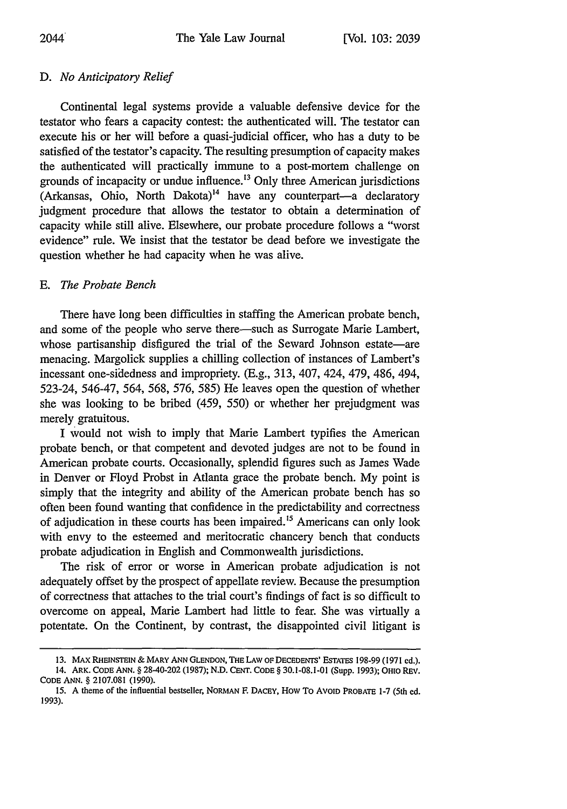# *D. No Anticipatory Relief*

Continental legal systems provide a valuable defensive device for the testator who fears a capacity contest: the authenticated will. The testator can execute his or her will before a quasi-judicial officer, who has a duty to be satisfied of the testator's capacity. The resulting presumption of capacity makes the authenticated will practically immune to a post-mortem challenge on grounds of incapacity or undue influence.<sup>13</sup> Only three American jurisdictions  $(A$ rkansas, Ohio, North Dakota)<sup>14</sup> have any counterpart—a declaratory judgment procedure that allows the testator to obtain a determination of capacity while still alive. Elsewhere, our probate procedure follows a "worst evidence" rule. We insist that the testator be dead before we investigate the question whether he had capacity when he was alive.

# *E. The Probate Bench*

There have long been difficulties in staffing the American probate bench, and some of the people who serve there-such as Surrogate Marie Lambert, whose partisanship disfigured the trial of the Seward Johnson estate—are menacing. Margolick supplies a chilling collection of instances of Lambert's incessant one-sidedness and impropriety. (E.g., 313, 407, 424, 479, 486, 494, 523-24, 546-47, 564, 568, 576, 585) He leaves open the question of whether she was looking to be bribed (459, 550) or whether her prejudgment was merely gratuitous.

I would not wish to imply that Marie Lambert typifies the American probate bench, or that competent and devoted judges are not to be found in American probate courts. Occasionally, splendid figures such as James Wade in Denver or Floyd Probst in Atlanta grace the probate bench. My point is simply that the integrity and ability of the American probate bench has so often been found wanting that confidence in the predictability and correctness of adjudication in these courts has been impaired.<sup>15</sup> Americans can only look with envy to the esteemed and meritocratic chancery bench that conducts probate adjudication in English and Commonwealth jurisdictions.

The risk of error or worse in American probate adjudication is not adequately offset by the prospect of appellate review. Because the presumption of correctness that attaches to the trial court's findings of fact is so difficult to overcome on appeal, Marie Lambert had little to fear. She was virtually a potentate. On the Continent, by contrast, the disappointed civil litigant is

**<sup>13.</sup>** MAX **RHEINSTEIN & MARY ANN GLENDON, THE** LAW **OF DECEDENTS'** ESTATES **198-99 (1971 ed.).**

<sup>14.</sup> ARK. **CODE ANN.** § 28-40-202 **(1987); N.D. CENT. CODE** § **30.1-08.1-01** (Supp. **1993);** OHIO REV. **CODE ANN.** § **2107.081 (1990).**

**<sup>15.</sup> A** theme of the influential bestseller, **NORMAN F.** DACEY, How To AvoID PROBATE **1-7** (5th ed. **1993).**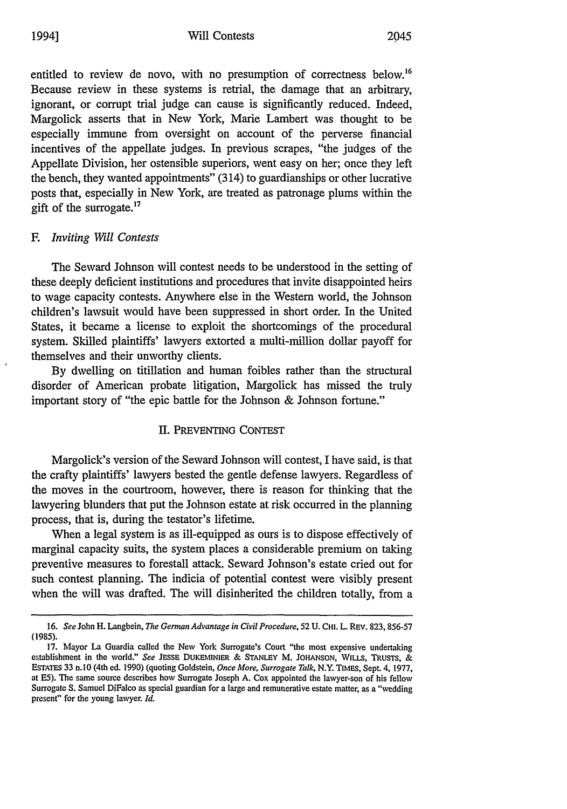entitled to review de novo, with no presumption of correctness below.<sup>16</sup> Because review in these systems is retrial, the damage that an arbitrary, ignorant, or corrupt trial judge can cause is significantly reduced. Indeed, Margolick asserts that in New York, Marie Lambert was thought to be especially immune from oversight on account of the perverse financial incentives of the appellate judges. In previous scrapes, "the judges of the Appellate Division, her ostensible superiors, went easy on her; once they left the bench, they wanted appointments" (314) to guardianships or other lucrative posts that, especially in New York, are treated as patronage plums within the gift of the surrogate.<sup>17</sup>

# *F. Inviting Will Contests*

The Seward Johnson will contest needs to be understood in the setting of these deeply deficient institutions and procedures that invite disappointed heirs to wage capacity contests. Anywhere else in the Western world, the Johnson children's lawsuit would have been suppressed in short order. In the United States, it became a license to exploit the shortcomings of the procedural system. Skilled plaintiffs' lawyers extorted a multi-million dollar payoff for themselves and their unworthy clients.

By dwelling on titillation and human foibles rather than the structural disorder of American probate litigation, Margolick has missed the truly important story of "the epic battle for the Johnson & Johnson fortune."

# II. PREVENTING CONTEST

Margolick's version of the Seward Johnson will contest, I have said, is that the crafty plaintiffs' lawyers bested the gentle defense lawyers. Regardless of the moves in the courtroom, however, there is reason for thinking that the lawyering blunders that put the Johnson estate at risk occurred in the planning process, that is, during the testator's lifetime.

When a legal system is as ill-equipped as ours is to dispose effectively of marginal capacity suits, the system places a considerable premium on taking preventive measures to forestall attack. Seward Johnson's estate cried out for such contest planning. The indicia of potential contest were visibly present when the will was drafted. The will disinherited the children totally, from a

*<sup>16.</sup> See* John H. Langbein, *The German Advantage in Civil Procedure,* 52 U. **CHI.** L. REV. 823, 856-57 (1985).

<sup>17.</sup> Mayor La Guardia called the New York Surrogate's Court "the most expensive undertaking establishment in the world." *See* JESSE **DUKEMINIER** *&* **STANLEY** M. **JOHANSON,** WILLS, TRUSTS, *&* ESTATES 33 n.10 (4th ed. 1990) (quoting Goldstein, *Once More, Surrogate Talk,* N.Y. TIMES, Sept. 4, 1977, at ES). The same source describes how Surrogate Joseph A. Cox appointed the lawyer-son of his fellow Surrogate **S.** Samuel DiFalco as special guardian for a large and remunerative estate matter, as a "wedding present" for the young lawyer. *Id.*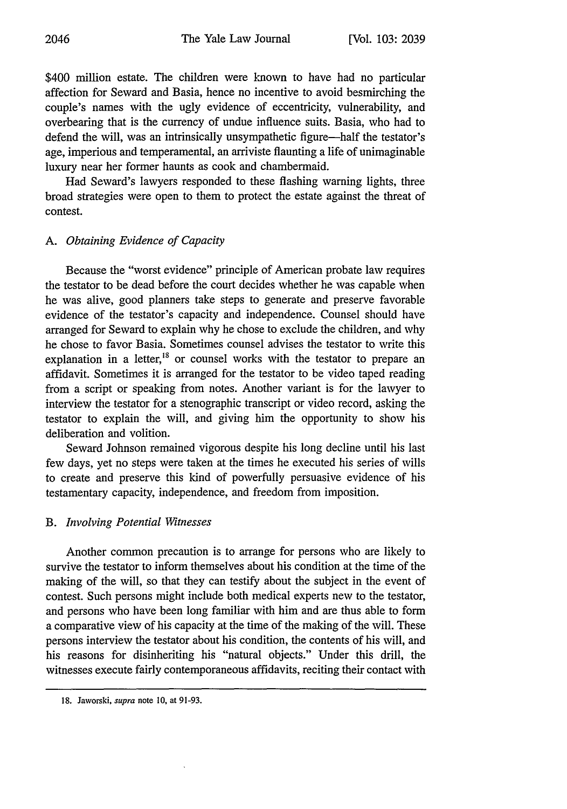\$400 million estate. The children were known to have had no particular affection for Seward and Basia, hence no incentive to avoid besmirching the couple's names with the ugly evidence of eccentricity, vulnerability, and overbearing that is the currency of undue influence suits. Basia, who had to defend the will, was an intrinsically unsympathetic figure—half the testator's age, imperious and temperamental, an arriviste flaunting a life of unimaginable luxury near her former haunts as cook and chambermaid.

Had Seward's lawyers responded to these flashing warning lights, three broad strategies were open to them to protect the estate against the threat of contest.

# *A. Obtaining Evidence of Capacity*

Because the "worst evidence" principle of American probate law requires the testator to be dead before the court decides whether he was capable when he was alive, good planners take steps to generate and preserve favorable evidence of the testator's capacity and independence. Counsel should have arranged for Seward to explain why he chose to exclude the children, and why he chose to favor Basia. Sometimes counsel advises the testator to write this explanation in a letter,<sup>18</sup> or counsel works with the testator to prepare an affidavit. Sometimes it is arranged for the testator to be video taped reading from a script or speaking from notes. Another variant is for the lawyer to interview the testator for a stenographic transcript or video record, asking the testator to explain the will, and giving him the opportunity to show his deliberation and volition.

Seward Johnson remained vigorous despite his long decline until his last few days, yet no steps were taken at the times he executed his series of wills to create and preserve this kind of powerfully persuasive evidence of his testamentary capacity, independence, and freedom from imposition.

# *B. Involving Potential Witnesses*

Another common precaution is to arrange for persons who are likely to survive the testator to inform themselves about his condition at the time of the making of the will, so that they can testify about the subject in the event of contest. Such persons might include both medical experts new to the testator, and persons who have been long familiar with him and are thus able to form a comparative view of his capacity at the time of the making of the will. These persons interview the testator about his condition, the contents of his will, and his reasons for disinheriting his "natural objects." Under this drill, the witnesses execute fairly contemporaneous affidavits, reciting their contact with

**<sup>18.</sup>** Jaworski, *supra* note **10,** at **91-93.**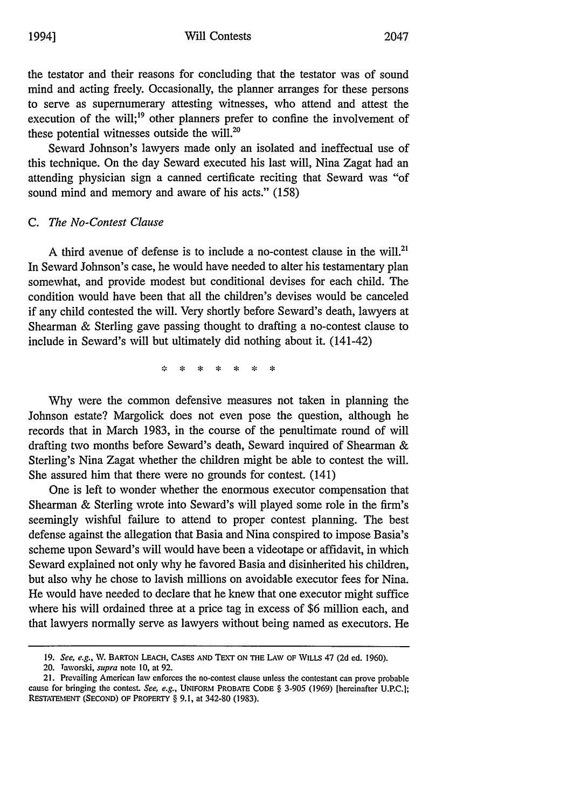the testator and their reasons for concluding that the testator was of sound mind and acting freely. Occasionally, the planner arranges for these persons to serve as supernumerary attesting witnesses, who attend and attest the execution of the will;<sup>19</sup> other planners prefer to confine the involvement of these potential witnesses outside the will.<sup>20</sup>

Seward Johnson's lawyers made only an isolated and ineffectual use of this technique. On the day Seward executed his last will, Nina Zagat had an attending physician sign a canned certificate reciting that Seward was "of sound mind and memory and aware of his acts." (158)

# *C. The No-Contest Clause*

A third avenue of defense is to include a no-contest clause in the will.<sup>21</sup> In Seward Johnson's case, he would have needed to alter his testamentary plan somewhat, and provide modest but conditional devises for each child. The condition would have been that all the children's devises would be canceled if any child contested the will. Very shortly before Seward's death, lawyers at Shearman & Sterling gave passing thought to drafting a no-contest clause to include in Seward's will but ultimately did nothing about it. (141-42)

> $\mathbf{M}$  $\mathbf{r}$  $\mathbf{R}$  and  $\mathbf{R}$  $\sim$  $\Delta \mathbf{E}$  $\sim$

Why were the common defensive measures not taken in planning the Johnson estate? Margolick does not even pose the question, although he records that in March 1983, in the course of the penultimate round of will drafting two months before Seward's death, Seward inquired of Shearman & Sterling's Nina Zagat whether the children might be able to contest the will. She assured him that there were no grounds for contest. (141)

One is left to wonder whether the enormous executor compensation that Shearman & Sterling wrote into Seward's will played some role in the firm's seemingly wishful failure to attend to proper contest planning. The best defense against the allegation that Basia and Nina conspired to impose Basia's scheme upon Seward's will would have been a videotape or affidavit, in which Seward explained not only why he favored Basia and disinherited his children, but also why he chose to lavish millions on avoidable executor fees for Nina. He would have needed to declare that he knew that one executor might suffice where his will ordained three at a price tag in excess of \$6 million each, and that lawyers normally serve as lawyers without being named as executors. He

**<sup>19.</sup>** *See, e.g.,* **NV.** BARTON **LEACH, CASES AND TEXT ON THE LAW OF** WiLLs 47 (2d ed. 1960).

<sup>20.</sup> Taworski, *supra* note 10, at 92.

<sup>21.</sup> Prevailing American law enforces the no-contest clause unless the contestant can prove probable cause for bringing the contest. *See, e.g.,* **UNIFORM** PROBATE **CODE** § **3-905** (1969) [hereinafter U.P.C.]; **RESTATEMENT (SECOND)** OF PROPERTY § 9.1, at 342-80 (1983).